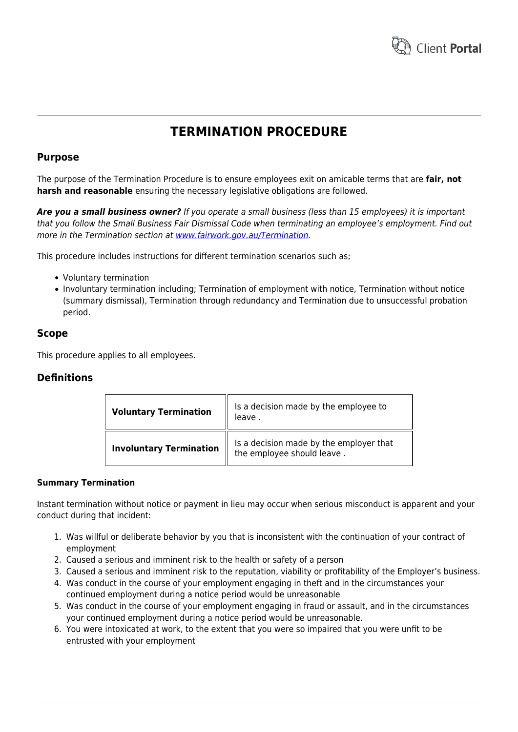

# **TERMINATION PROCEDURE**

## **Purpose**

The purpose of the Termination Procedure is to ensure employees exit on amicable terms that are **fair, not harsh and reasonable** ensuring the necessary legislative obligations are followed.

*Are you a small business owner?* If you operate a small business (less than 15 employees) it is important that you follow the Small Business Fair Dismissal Code when terminating an employee's employment. Find out more in the Termination section at [www.fairwork.gov.au/Termination.](http://www.fairwork.gov.au/termination/pages/default.aspx)

This procedure includes instructions for different termination scenarios such as;

- Voluntary termination
- Involuntary termination including; Termination of employment with notice, Termination without notice (summary dismissal), Termination through redundancy and Termination due to unsuccessful probation period.

## **Scope**

This procedure applies to all employees.

# **Definitions**

| <b>Voluntary Termination</b>   | Is a decision made by the employee to<br>leave.                       |
|--------------------------------|-----------------------------------------------------------------------|
| <b>Involuntary Termination</b> | Is a decision made by the employer that<br>the employee should leave. |

#### **Summary Termination**

Instant termination without notice or payment in lieu may occur when serious misconduct is apparent and your conduct during that incident:

- 1. Was willful or deliberate behavior by you that is inconsistent with the continuation of your contract of employment
- 2. Caused a serious and imminent risk to the health or safety of a person
- 3. Caused a serious and imminent risk to the reputation, viability or profitability of the Employer's business.
- 4. Was conduct in the course of your employment engaging in theft and in the circumstances your continued employment during a notice period would be unreasonable
- 5. Was conduct in the course of your employment engaging in fraud or assault, and in the circumstances your continued employment during a notice period would be unreasonable.
- 6. You were intoxicated at work, to the extent that you were so impaired that you were unfit to be entrusted with your employment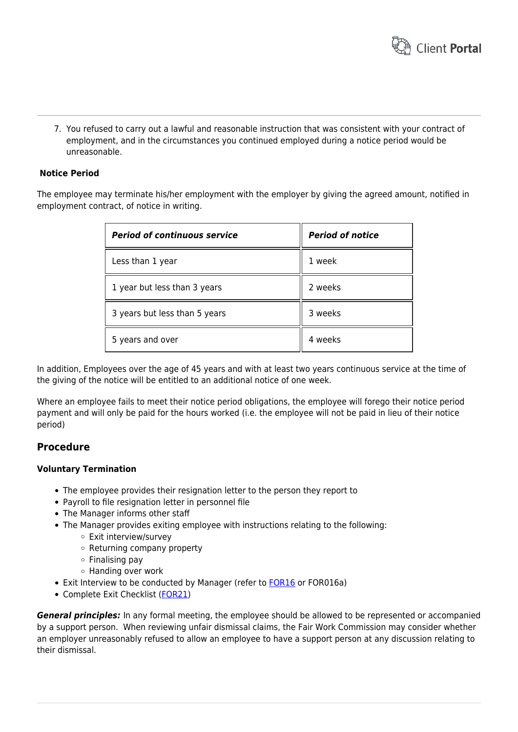

7. You refused to carry out a lawful and reasonable instruction that was consistent with your contract of employment, and in the circumstances you continued employed during a notice period would be unreasonable.

#### **Notice Period**

The employee may terminate his/her employment with the employer by giving the agreed amount, notified in employment contract, of notice in writing.

| <b>Period of continuous service</b> | <b>Period of notice</b> |
|-------------------------------------|-------------------------|
| Less than 1 year                    | 1 week                  |
| 1 year but less than 3 years        | 2 weeks                 |
| 3 years but less than 5 years       | 3 weeks                 |
| 5 years and over                    | 4 weeks                 |

In addition, Employees over the age of 45 years and with at least two years continuous service at the time of the giving of the notice will be entitled to an additional notice of one week.

Where an employee fails to meet their notice period obligations, the employee will forego their notice period payment and will only be paid for the hours worked (i.e. the employee will not be paid in lieu of their notice period)

## **Procedure**

#### **Voluntary Termination**

- The employee provides their resignation letter to the person they report to
- Payroll to file resignation letter in personnel file
- The Manager informs other staff
- The Manager provides exiting employee with instructions relating to the following:
	- Exit interview/survey
	- o Returning company property
	- $\circ$  Finalising pay
	- Handing over work
- Exit Interview to be conducted by Manager (refer to [FOR16](https://www.hrtemplates.com.au/form_templates/hr-for16-exit-interview-informal/) or FOR016a)
- Complete Exit Checklist ([FOR21\)](https://www.hrtemplates.com.au/form_templates/hr-for21-exit-employee-checklist/)

*General principles:* In any formal meeting, the employee should be allowed to be represented or accompanied by a support person. When reviewing unfair dismissal claims, the Fair Work Commission may consider whether an employer unreasonably refused to allow an employee to have a support person at any discussion relating to their dismissal.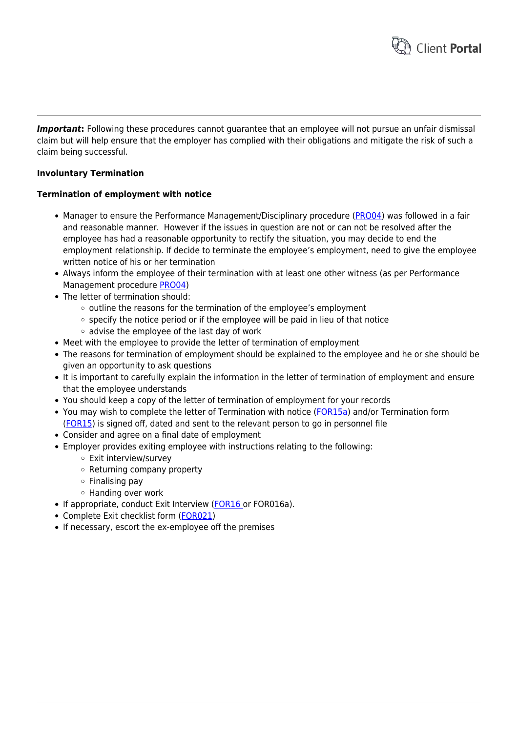

*Important*: Following these procedures cannot guarantee that an employee will not pursue an unfair dismissal claim but will help ensure that the employer has complied with their obligations and mitigate the risk of such a claim being successful.

#### **Involuntary Termination**

#### **Termination of employment with notice**

- Manager to ensure the Performance Management/Disciplinary procedure [\(PRO04\)](https://www.hrtemplates.com.au/policies_procedures/hr-pro04-performance-management-procedure/) was followed in a fair and reasonable manner. However if the issues in question are not or can not be resolved after the employee has had a reasonable opportunity to rectify the situation, you may decide to end the employment relationship. If decide to terminate the employee's employment, need to give the employee written notice of his or her termination
- Always inform the employee of their termination with at least one other witness (as per Performance Management procedure [PRO04\)](https://www.hrtemplates.com.au/policies_procedures/hr-pro04-performance-management-procedure/)
- The letter of termination should:
	- $\circ$  outline the reasons for the termination of the employee's employment
	- $\circ$  specify the notice period or if the employee will be paid in lieu of that notice
	- $\circ$  advise the employee of the last day of work
- Meet with the employee to provide the letter of termination of employment
- The reasons for termination of employment should be explained to the employee and he or she should be given an opportunity to ask questions
- It is important to carefully explain the information in the letter of termination of employment and ensure that the employee understands
- You should keep a copy of the letter of termination of employment for your records
- You may wish to complete the letter of Termination with notice [\(FOR15a\)](https://www.hrtemplates.com.au/form_templates/hr-for15a-letter-of-termination-with-notice/) and/or Termination form [\(FOR15\)](https://www.hrtemplates.com.au/form_templates/hr-for15-termination-form/) is signed off, dated and sent to the relevant person to go in personnel file
- Consider and agree on a final date of employment
- Employer provides exiting employee with instructions relating to the following:
	- Exit interview/survey
	- Returning company property
	- $\circ$  Finalising pay
	- Handing over work
- If appropriate, conduct Exit Interview ([FOR16](https://www.hrtemplates.com.au/form_templates/hr-for16-exit-interview-informal/) or FOR016a).
- Complete Exit checklist form ([FOR021](https://www.hrtemplates.com.au/form_templates/hr-for21-exit-employee-checklist/))
- If necessary, escort the ex-employee off the premises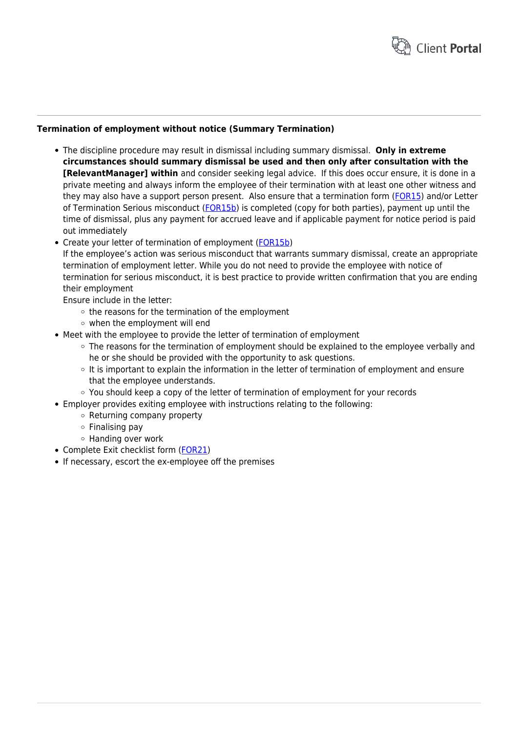

#### **Termination of employment without notice (Summary Termination)**

- The discipline procedure may result in dismissal including summary dismissal. **Only in extreme circumstances should summary dismissal be used and then only after consultation with the [RelevantManager] within** and consider seeking legal advice. If this does occur ensure, it is done in a private meeting and always inform the employee of their termination with at least one other witness and they may also have a support person present. Also ensure that a termination form [\(FOR15](https://www.hrtemplates.com.au/form_templates/hr-for15-termination-form/)) and/or Letter of Termination Serious misconduct ([FOR15b\)](https://www.hrtemplates.com.au/form_templates/hr-for15b-letter-of-termination-misconduct/) is completed (copy for both parties), payment up until the time of dismissal, plus any payment for accrued leave and if applicable payment for notice period is paid out immediately
- Create your letter of termination of employment [\(FOR15b](https://www.hrtemplates.com.au/form_templates/hr-for15b-letter-of-termination-misconduct/))

If the employee's action was serious misconduct that warrants summary dismissal, create an appropriate termination of employment letter. While you do not need to provide the employee with notice of termination for serious misconduct, it is best practice to provide written confirmation that you are ending their employment

Ensure include in the letter:

- $\circ$  the reasons for the termination of the employment
- when the employment will end
- Meet with the employee to provide the letter of termination of employment
	- $\circ$  The reasons for the termination of employment should be explained to the employee verbally and he or she should be provided with the opportunity to ask questions.
	- $\circ$  It is important to explain the information in the letter of termination of employment and ensure that the employee understands.
	- $\circ$  You should keep a copy of the letter of termination of employment for your records
- Employer provides exiting employee with instructions relating to the following:
	- o Returning company property
	- $\circ$  Finalising pay
	- Handing over work
- Complete Exit checklist form ([FOR21](https://www.hrtemplates.com.au/form_templates/hr-for21-exit-employee-checklist/))
- If necessary, escort the ex-employee off the premises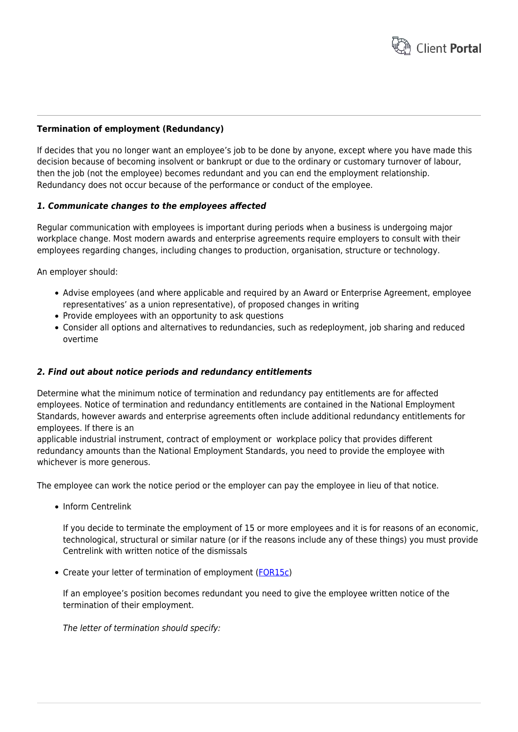

#### **Termination of employment (Redundancy)**

If decides that you no longer want an employee's job to be done by anyone, except where you have made this decision because of becoming insolvent or bankrupt or due to the ordinary or customary turnover of labour, then the job (not the employee) becomes redundant and you can end the employment relationship. Redundancy does not occur because of the performance or conduct of the employee.

#### *1. Communicate changes to the employees affected*

Regular communication with employees is important during periods when a business is undergoing major workplace change. Most modern awards and enterprise agreements require employers to consult with their employees regarding changes, including changes to production, organisation, structure or technology.

An employer should:

- Advise employees (and where applicable and required by an Award or Enterprise Agreement, employee representatives' as a union representative), of proposed changes in writing
- Provide employees with an opportunity to ask questions
- Consider all options and alternatives to redundancies, such as redeployment, job sharing and reduced overtime

#### *2. Find out about notice periods and redundancy entitlements*

Determine what the minimum notice of termination and redundancy pay entitlements are for affected employees. Notice of termination and redundancy entitlements are contained in the National Employment Standards, however awards and enterprise agreements often include additional redundancy entitlements for employees. If there is an

applicable industrial instrument, contract of employment or workplace policy that provides different redundancy amounts than the National Employment Standards, you need to provide the employee with whichever is more generous.

The employee can work the notice period or the employer can pay the employee in lieu of that notice.

• Inform Centrelink

If you decide to terminate the employment of 15 or more employees and it is for reasons of an economic, technological, structural or similar nature (or if the reasons include any of these things) you must provide Centrelink with written notice of the dismissals

• Create your letter of termination of employment [\(FOR15c](https://www.hrtemplates.com.au/form_templates/hr-for15c-letter-of-termination-redundancy/))

If an employee's position becomes redundant you need to give the employee written notice of the termination of their employment.

The letter of termination should specify: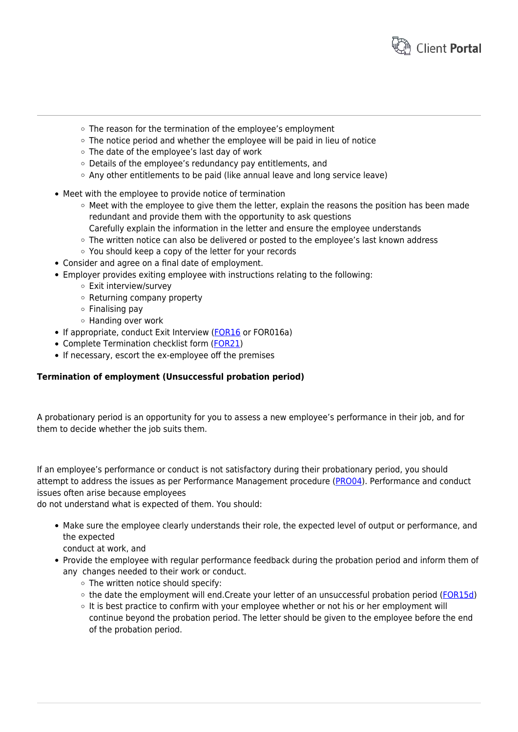

- The reason for the termination of the employee's employment
- $\circ$  The notice period and whether the employee will be paid in lieu of notice
- The date of the employee's last day of work
- Details of the employee's redundancy pay entitlements, and
- $\circ$  Any other entitlements to be paid (like annual leave and long service leave)
- Meet with the employee to provide notice of termination
	- $\circ$  Meet with the employee to give them the letter, explain the reasons the position has been made redundant and provide them with the opportunity to ask questions Carefully explain the information in the letter and ensure the employee understands
	- The written notice can also be delivered or posted to the employee's last known address
	- You should keep a copy of the letter for your records
- Consider and agree on a final date of employment.
- Employer provides exiting employee with instructions relating to the following:
	- Exit interview/survey
	- Returning company property
	- $\circ$  Finalising pay
	- $\circ$  Handing over work
- If appropriate, conduct Exit Interview ([FOR16](https://www.hrtemplates.com.au/form_templates/hr-for16-exit-interview-informal/) or FOR016a)
- Complete Termination checklist form ([FOR21\)](https://www.hrtemplates.com.au/form_templates/hr-for21-exit-employee-checklist/)
- If necessary, escort the ex-employee off the premises

#### **Termination of employment (Unsuccessful probation period)**

A probationary period is an opportunity for you to assess a new employee's performance in their job, and for them to decide whether the job suits them.

If an employee's performance or conduct is not satisfactory during their probationary period, you should attempt to address the issues as per Performance Management procedure ([PRO04](https://www.hrtemplates.com.au/policies_procedures/hr-pro04-performance-management-procedure/)). Performance and conduct issues often arise because employees

do not understand what is expected of them. You should:

- Make sure the employee clearly understands their role, the expected level of output or performance, and the expected
	- conduct at work, and
- Provide the employee with regular performance feedback during the probation period and inform them of any changes needed to their work or conduct.
	- $\circ$  The written notice should specify:
	- the date the employment will end.Create your letter of an unsuccessful probation period [\(FOR15d\)](https://www.hrtemplates.com.au/form_templates/hr-for15d-letter-of-unsuccessful-probation/)
	- $\circ$  It is best practice to confirm with your employee whether or not his or her employment will continue beyond the probation period. The letter should be given to the employee before the end of the probation period.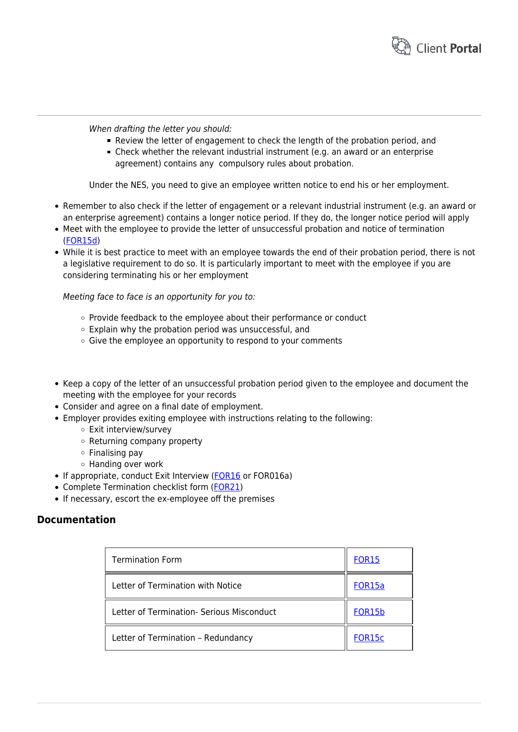

When drafting the letter you should:

- Review the letter of engagement to check the length of the probation period, and
- Check whether the relevant industrial instrument (e.g. an award or an enterprise agreement) contains any compulsory rules about probation.

Under the NES, you need to give an employee written notice to end his or her employment.

- Remember to also check if the letter of engagement or a relevant industrial instrument (e.g. an award or an enterprise agreement) contains a longer notice period. If they do, the longer notice period will apply
- Meet with the employee to provide the letter of unsuccessful probation and notice of termination [\(FOR15d\)](https://www.hrtemplates.com.au/form_templates/hr-for15d-letter-of-unsuccessful-probation/)
- While it is best practice to meet with an employee towards the end of their probation period, there is not a legislative requirement to do so. It is particularly important to meet with the employee if you are considering terminating his or her employment

Meeting face to face is an opportunity for you to:

- $\circ$  Provide feedback to the employee about their performance or conduct
- $\circ$  Explain why the probation period was unsuccessful, and
- $\circ$  Give the employee an opportunity to respond to your comments
- Keep a copy of the letter of an unsuccessful probation period given to the employee and document the meeting with the employee for your records
- Consider and agree on a final date of employment.
- Employer provides exiting employee with instructions relating to the following:
	- Exit interview/survey
	- o Returning company property
	- $\circ$  Finalising pay
	- Handing over work
- If appropriate, conduct Exit Interview ([FOR16](https://www.hrtemplates.com.au/form_templates/hr-for16-exit-interview-informal/) or FOR016a)
- Complete Termination checklist form ([FOR21\)](https://www.hrtemplates.com.au/form_templates/hr-for21-exit-employee-checklist/)
- If necessary, escort the ex-employee off the premises

## **Documentation**

| <b>Termination Form</b>                   | <b>FOR15</b>  |
|-------------------------------------------|---------------|
| Letter of Termination with Notice         | FOR15a        |
| Letter of Termination- Serious Misconduct | <b>FOR15b</b> |
| Letter of Termination - Redundancy        | FOR15c        |